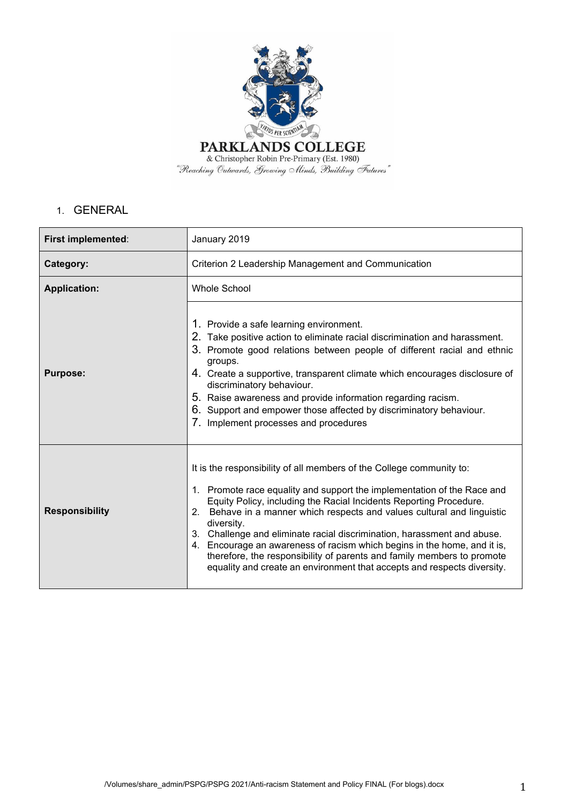

# 1. GENERAL

| First implemented:    | January 2019                                                                                                                                                                                                                                                                                                                                                                                                                                                                                                                                                                                                                  |  |
|-----------------------|-------------------------------------------------------------------------------------------------------------------------------------------------------------------------------------------------------------------------------------------------------------------------------------------------------------------------------------------------------------------------------------------------------------------------------------------------------------------------------------------------------------------------------------------------------------------------------------------------------------------------------|--|
| Category:             | Criterion 2 Leadership Management and Communication                                                                                                                                                                                                                                                                                                                                                                                                                                                                                                                                                                           |  |
| <b>Application:</b>   | <b>Whole School</b>                                                                                                                                                                                                                                                                                                                                                                                                                                                                                                                                                                                                           |  |
| <b>Purpose:</b>       | 1. Provide a safe learning environment.<br>2. Take positive action to eliminate racial discrimination and harassment.<br>3. Promote good relations between people of different racial and ethnic<br>groups.<br>4. Create a supportive, transparent climate which encourages disclosure of<br>discriminatory behaviour.<br>5. Raise awareness and provide information regarding racism.<br>6. Support and empower those affected by discriminatory behaviour.<br>7. Implement processes and procedures                                                                                                                         |  |
| <b>Responsibility</b> | It is the responsibility of all members of the College community to:<br>1. Promote race equality and support the implementation of the Race and<br>Equity Policy, including the Racial Incidents Reporting Procedure.<br>Behave in a manner which respects and values cultural and linguistic<br>2.<br>diversity.<br>3. Challenge and eliminate racial discrimination, harassment and abuse.<br>4. Encourage an awareness of racism which begins in the home, and it is,<br>therefore, the responsibility of parents and family members to promote<br>equality and create an environment that accepts and respects diversity. |  |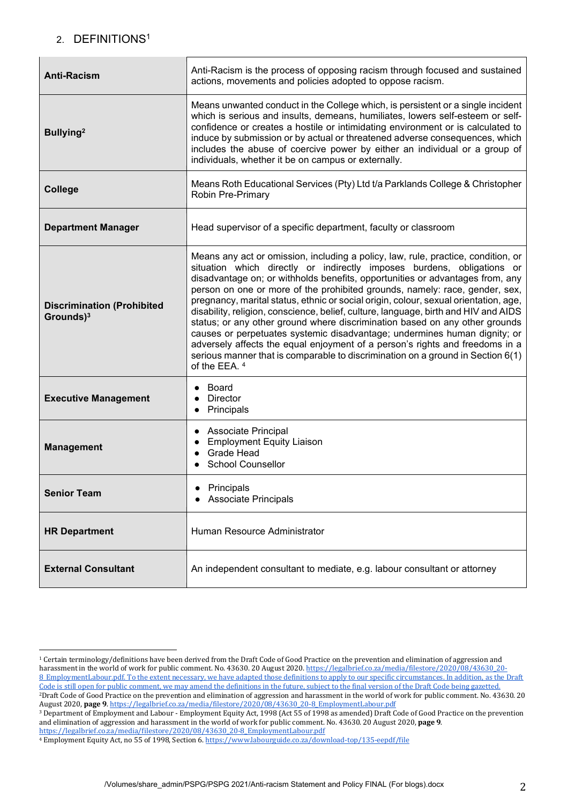# 2. DEFINITIONS1

| <b>Anti-Racism</b>                                 | Anti-Racism is the process of opposing racism through focused and sustained<br>actions, movements and policies adopted to oppose racism.                                                                                                                                                                                                                                                                                                                                                                                                                                                                                                                                                                                                                                                                                                                   |
|----------------------------------------------------|------------------------------------------------------------------------------------------------------------------------------------------------------------------------------------------------------------------------------------------------------------------------------------------------------------------------------------------------------------------------------------------------------------------------------------------------------------------------------------------------------------------------------------------------------------------------------------------------------------------------------------------------------------------------------------------------------------------------------------------------------------------------------------------------------------------------------------------------------------|
| Bullying <sup>2</sup>                              | Means unwanted conduct in the College which, is persistent or a single incident<br>which is serious and insults, demeans, humiliates, lowers self-esteem or self-<br>confidence or creates a hostile or intimidating environment or is calculated to<br>induce by submission or by actual or threatened adverse consequences, which<br>includes the abuse of coercive power by either an individual or a group of<br>individuals, whether it be on campus or externally.                                                                                                                                                                                                                                                                                                                                                                                   |
| <b>College</b>                                     | Means Roth Educational Services (Pty) Ltd t/a Parklands College & Christopher<br><b>Robin Pre-Primary</b>                                                                                                                                                                                                                                                                                                                                                                                                                                                                                                                                                                                                                                                                                                                                                  |
| <b>Department Manager</b>                          | Head supervisor of a specific department, faculty or classroom                                                                                                                                                                                                                                                                                                                                                                                                                                                                                                                                                                                                                                                                                                                                                                                             |
| <b>Discrimination (Prohibited</b><br>Grounds $)^3$ | Means any act or omission, including a policy, law, rule, practice, condition, or<br>situation which directly or indirectly imposes burdens, obligations or<br>disadvantage on; or withholds benefits, opportunities or advantages from, any<br>person on one or more of the prohibited grounds, namely: race, gender, sex,<br>pregnancy, marital status, ethnic or social origin, colour, sexual orientation, age,<br>disability, religion, conscience, belief, culture, language, birth and HIV and AIDS<br>status; or any other ground where discrimination based on any other grounds<br>causes or perpetuates systemic disadvantage; undermines human dignity; or<br>adversely affects the equal enjoyment of a person's rights and freedoms in a<br>serious manner that is comparable to discrimination on a ground in Section 6(1)<br>of the EEA. 4 |
| <b>Executive Management</b>                        | Board<br><b>Director</b><br>Principals                                                                                                                                                                                                                                                                                                                                                                                                                                                                                                                                                                                                                                                                                                                                                                                                                     |
| <b>Management</b>                                  | • Associate Principal<br><b>Employment Equity Liaison</b><br><b>Grade Head</b><br>$\bullet$<br><b>School Counsellor</b>                                                                                                                                                                                                                                                                                                                                                                                                                                                                                                                                                                                                                                                                                                                                    |
| <b>Senior Team</b>                                 | Principals<br><b>Associate Principals</b>                                                                                                                                                                                                                                                                                                                                                                                                                                                                                                                                                                                                                                                                                                                                                                                                                  |
| <b>HR Department</b>                               | Human Resource Administrator                                                                                                                                                                                                                                                                                                                                                                                                                                                                                                                                                                                                                                                                                                                                                                                                                               |
| <b>External Consultant</b>                         | An independent consultant to mediate, e.g. labour consultant or attorney                                                                                                                                                                                                                                                                                                                                                                                                                                                                                                                                                                                                                                                                                                                                                                                   |

<sup>&</sup>lt;sup>1</sup> Certain terminology/definitions have been derived from the Draft Code of Good Practice on the prevention and elimination of aggression and harassment in the world of work for public comment. No. 43630. 20 August 2020. https://legalbrief.co.za/media/filestore/2020/08/43630\_20-<br>harassment in the world of work for public comment. No. 43630. 20 August 2020. https 8 EmploymentLabour.pdf. To the extent necessary, we have adapted those definitions to apply to our specific circumstances. In addition, as the Draft Code is still open for public comment, we may amend the definitions in the future, subject to the final version of the Draft Code being gazetted. <sup>2</sup>Draft Code of Good Practice on the prevention and elimination of aggression and harassment in the world of work for public comment. No. 43630. 20 August 2020, page 9. https://legalbrief.co.za/media/filestore/2020/08/43630\_20-8\_EmploymentLabour.pdf

<sup>&</sup>lt;sup>3</sup> Department of Employment and Labour - Employment Equity Act, 1998 (Act 55 of 1998 as amended) Draft Code of Good Practice on the prevention and elimination of aggression and harassment in the world of work for public comment. No. 43630. 20 August 2020, page 9. https://legalbrief.co.za/media/filestore/2020/08/43630\_20-8\_EmploymentLabour.pdf 

<sup>&</sup>lt;sup>4</sup> Employment Equity Act, no 55 of 1998, Section 6. https://www.labourguide.co.za/download-top/135-eepdf/file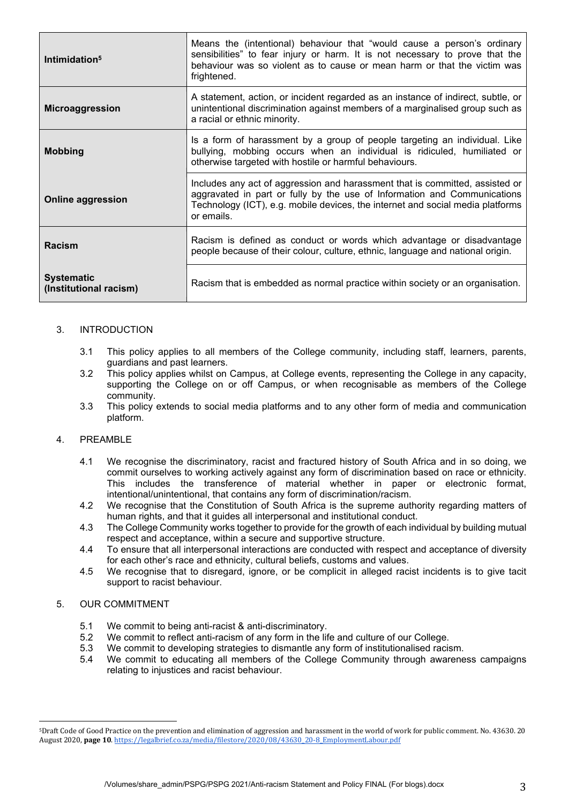| Intimidation <sup>5</sup>                   | Means the (intentional) behaviour that "would cause a person's ordinary<br>sensibilities" to fear injury or harm. It is not necessary to prove that the<br>behaviour was so violent as to cause or mean harm or that the victim was<br>frightened.       |
|---------------------------------------------|----------------------------------------------------------------------------------------------------------------------------------------------------------------------------------------------------------------------------------------------------------|
| Microaggression                             | A statement, action, or incident regarded as an instance of indirect, subtle, or<br>unintentional discrimination against members of a marginalised group such as<br>a racial or ethnic minority.                                                         |
| <b>Mobbing</b>                              | Is a form of harassment by a group of people targeting an individual. Like<br>bullying, mobbing occurs when an individual is ridiculed, humiliated or<br>otherwise targeted with hostile or harmful behaviours.                                          |
| <b>Online aggression</b>                    | Includes any act of aggression and harassment that is committed, assisted or<br>aggravated in part or fully by the use of Information and Communications<br>Technology (ICT), e.g. mobile devices, the internet and social media platforms<br>or emails. |
| <b>Racism</b>                               | Racism is defined as conduct or words which advantage or disadvantage<br>people because of their colour, culture, ethnic, language and national origin.                                                                                                  |
| <b>Systematic</b><br>(Institutional racism) | Racism that is embedded as normal practice within society or an organisation.                                                                                                                                                                            |

#### 3. INTRODUCTION

- 3.1 This policy applies to all members of the College community, including staff, learners, parents, guardians and past learners.
- 3.2 This policy applies whilst on Campus, at College events, representing the College in any capacity, supporting the College on or off Campus, or when recognisable as members of the College community.
- 3.3 This policy extends to social media platforms and to any other form of media and communication platform.

## 4. PREAMBLE

- 4.1 We recognise the discriminatory, racist and fractured history of South Africa and in so doing, we commit ourselves to working actively against any form of discrimination based on race or ethnicity. This includes the transference of material whether in paper or electronic format, intentional/unintentional, that contains any form of discrimination/racism.
- 4.2 We recognise that the Constitution of South Africa is the supreme authority regarding matters of human rights, and that it guides all interpersonal and institutional conduct.
- 4.3 The College Community works together to provide for the growth of each individual by building mutual respect and acceptance, within a secure and supportive structure.
- 4.4 To ensure that all interpersonal interactions are conducted with respect and acceptance of diversity for each other's race and ethnicity, cultural beliefs, customs and values.
- 4.5 We recognise that to disregard, ignore, or be complicit in alleged racist incidents is to give tacit support to racist behaviour.

#### 5. OUR COMMITMENT

- 5.1 We commit to being anti-racist & anti-discriminatory.
- 5.2 We commit to reflect anti-racism of any form in the life and culture of our College.
- 5.3 We commit to developing strategies to dismantle any form of institutionalised racism.
- 5.4 We commit to educating all members of the College Community through awareness campaigns relating to injustices and racist behaviour.

<sup>&</sup>lt;sup>5</sup>Draft Code of Good Practice on the prevention and elimination of aggression and harassment in the world of work for public comment. No. 43630. 20 August 2020. page 10. https://legalbrief.co.za/media/filestore/2020/08/43630\_20-8\_EmploymentLabour.pdf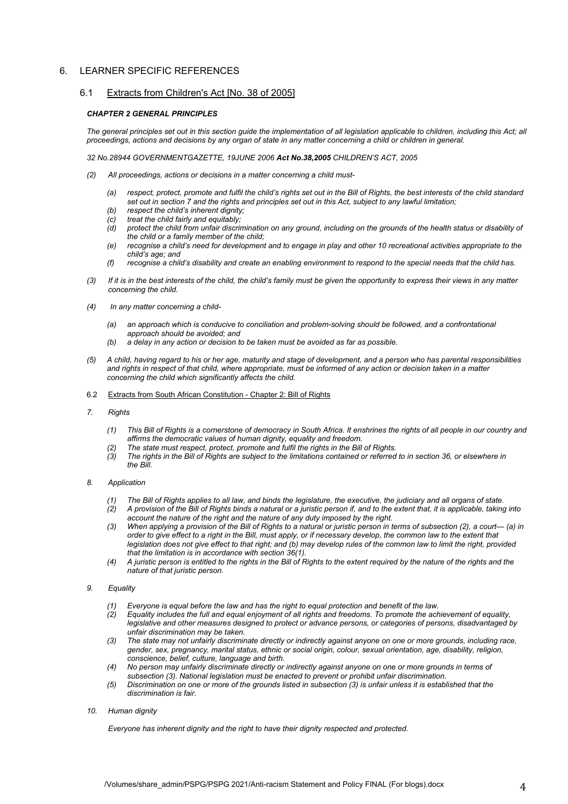#### 6. LEARNER SPECIFIC REFERENCES

#### 6.1 Extracts from Children's Act [No. 38 of 2005]

#### *CHAPTER 2 GENERAL PRINCIPLES*

The general principles set out in this section guide the implementation of all legislation applicable to children, including this Act; all *proceedings, actions and decisions by any organ of state in any matter concerning a child or children in general.*

*32 No.28944 GOVERNMENTGAZETTE, 19JUNE 2006 Act No.38,2005 CHILDREN'S ACT, 2005*

- *(2) All proceedings, actions or decisions in a matter concerning a child must-*
	- *(a) respect, protect, promote and fulfil the child's rights set out in the Bill of Rights, the best interests of the child standard set out in section 7 and the rights and principles set out in this Act, subject to any lawful limitation;*
	- *(b) respect the child's inherent dignity;*
	- *(c) treat the child fairly and equitably;*
	- *(d) protect the child from unfair discrimination on any ground, including on the grounds of the health status or disability of the child or a family member of the child;*
	- *(e) recognise a child's need for development and to engage in play and other 10 recreational activities appropriate to the child's age; and*
	- *(f) recognise a child's disability and create an enabling environment to respond to the special needs that the child has.*
- *(3) If it is in the best interests of the child, the child's family must be given the opportunity to express their views in any matter concerning the child.*
- *(4) In any matter concerning a child-*
	- *(a) an approach which is conducive to conciliation and problem-solving should be followed, and a confrontational approach should be avoided; and*
	- *(b) a delay in any action or decision to be taken must be avoided as far as possible.*
- *(5) A child, having regard to his or her age, maturity and stage of development, and a person who has parental responsibilities and rights in respect of that child, where appropriate, must be informed of any action or decision taken in a matter concerning the child which significantly affects the child.*
- 6.2 Extracts from South African Constitution Chapter 2: Bill of Rights
- *7. Rights* 
	- *(1) This Bill of Rights is a cornerstone of democracy in South Africa. It enshrines the rights of all people in our country and affirms the democratic values of human dignity, equality and freedom.*
	- *(2) The state must respect, protect, promote and fulfil the rights in the Bill of Rights.*
	- *(3) The rights in the Bill of Rights are subject to the limitations contained or referred to in section 36, or elsewhere in the Bill.*

#### *8. Application*

- *(1) The Bill of Rights applies to all law, and binds the legislature, the executive, the judiciary and all organs of state.*
- *(2) A provision of the Bill of Rights binds a natural or a juristic person if, and to the extent that, it is applicable, taking into account the nature of the right and the nature of any duty imposed by the right.*
- *(3) When applying a provision of the Bill of Rights to a natural or juristic person in terms of subsection (2), a court— (a) in order to give effect to a right in the Bill, must apply, or if necessary develop, the common law to the extent that legislation does not give effect to that right; and (b) may develop rules of the common law to limit the right, provided that the limitation is in accordance with section 36(1).*
- *(4) A juristic person is entitled to the rights in the Bill of Rights to the extent required by the nature of the rights and the nature of that juristic person.*

#### *9. Equality*

- *(1) Everyone is equal before the law and has the right to equal protection and benefit of the law.*
- *(2) Equality includes the full and equal enjoyment of all rights and freedoms. To promote the achievement of equality, legislative and other measures designed to protect or advance persons, or categories of persons, disadvantaged by unfair discrimination may be taken.*
- *(3) The state may not unfairly discriminate directly or indirectly against anyone on one or more grounds, including race, gender, sex, pregnancy, marital status, ethnic or social origin, colour, sexual orientation, age, disability, religion, conscience, belief, culture, language and birth.*
- *(4) No person may unfairly discriminate directly or indirectly against anyone on one or more grounds in terms of subsection (3). National legislation must be enacted to prevent or prohibit unfair discrimination.*
- *(5) Discrimination on one or more of the grounds listed in subsection (3) is unfair unless it is established that the discrimination is fair.*

#### *10. Human dignity*

*Everyone has inherent dignity and the right to have their dignity respected and protected.*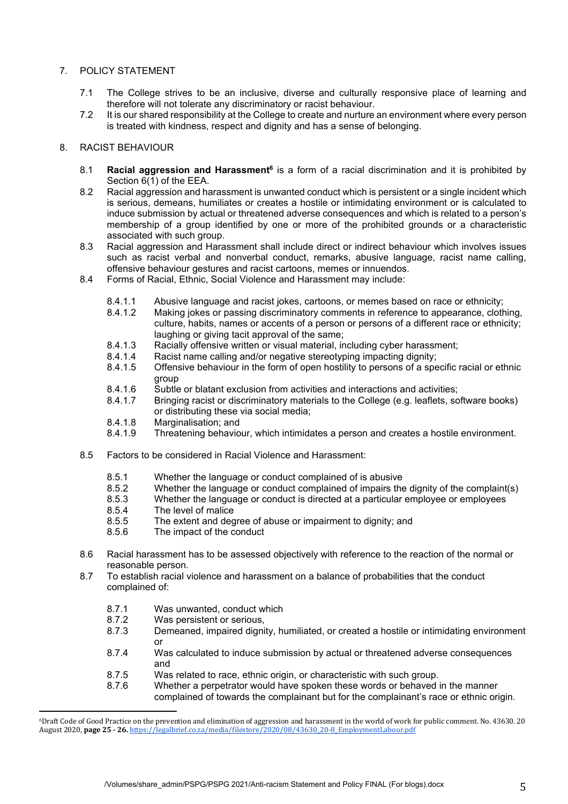## 7. POLICY STATEMENT

- 7.1 The College strives to be an inclusive, diverse and culturally responsive place of learning and therefore will not tolerate any discriminatory or racist behaviour.
- 7.2 It is our shared responsibility at the College to create and nurture an environment where every person is treated with kindness, respect and dignity and has a sense of belonging.

### 8. RACIST BEHAVIOUR

- 8.1 **Racial aggression and Harassment<sup>6</sup>** is a form of a racial discrimination and it is prohibited by Section  $6(1)$  of the EEA.
- 8.2 Racial aggression and harassment is unwanted conduct which is persistent or a single incident which is serious, demeans, humiliates or creates a hostile or intimidating environment or is calculated to induce submission by actual or threatened adverse consequences and which is related to a person's membership of a group identified by one or more of the prohibited grounds or a characteristic associated with such group.
- 8.3 Racial aggression and Harassment shall include direct or indirect behaviour which involves issues such as racist verbal and nonverbal conduct, remarks, abusive language, racist name calling, offensive behaviour gestures and racist cartoons, memes or innuendos.
- 8.4 Forms of Racial, Ethnic, Social Violence and Harassment may include:
	- 8.4.1.1 Abusive language and racist jokes, cartoons, or memes based on race or ethnicity;<br>8.4.1.2 Making jokes or passing discriminatory comments in reference to appearance, cloth
	- Making jokes or passing discriminatory comments in reference to appearance, clothing, culture, habits, names or accents of a person or persons of a different race or ethnicity; laughing or giving tacit approval of the same;
	- 8.4.1.3 Racially offensive written or visual material, including cyber harassment;
	- 8.4.1.4 Racist name calling and/or negative stereotyping impacting dignity;
	- 8.4.1.5 Offensive behaviour in the form of open hostility to persons of a specific racial or ethnic group
	- 8.4.1.6 Subtle or blatant exclusion from activities and interactions and activities;
	- 8.4.1.7 Bringing racist or discriminatory materials to the College (e.g. leaflets, software books) or distributing these via social media;
	- 8.4.1.8 Marginalisation; and<br>8.4.1.9 Threatening behavio
	- Threatening behaviour, which intimidates a person and creates a hostile environment.
- 8.5 Factors to be considered in Racial Violence and Harassment:
	- 8.5.1 Whether the language or conduct complained of is abusive
	- 8.5.2 Whether the language or conduct complained of impairs the dignity of the complaint(s)
	- 8.5.3 Whether the language or conduct is directed at a particular employee or employees
	- 8.5.4 The level of malice
	- 8.5.5 The extent and degree of abuse or impairment to dignity; and
	- 8.5.6 The impact of the conduct
- 8.6 Racial harassment has to be assessed objectively with reference to the reaction of the normal or reasonable person.
- 8.7 To establish racial violence and harassment on a balance of probabilities that the conduct complained of:
	- 8.7.1 Was unwanted, conduct which
	- 8.7.2 Was persistent or serious,
	- 8.7.3 Demeaned, impaired dignity, humiliated, or created a hostile or intimidating environment or
	- 8.7.4 Was calculated to induce submission by actual or threatened adverse consequences and
	- 8.7.5 Was related to race, ethnic origin, or characteristic with such group.
	- 8.7.6 Whether a perpetrator would have spoken these words or behaved in the manner complained of towards the complainant but for the complainant's race or ethnic origin.

<sup>&</sup>lt;sup>6</sup>Draft Code of Good Practice on the prevention and elimination of aggression and harassment in the world of work for public comment. No. 43630. 20 August 2020, page 25 - 26. https://legalbrief.co.za/media/filestore/2020/08/43630\_20-8\_EmploymentLabour.pdf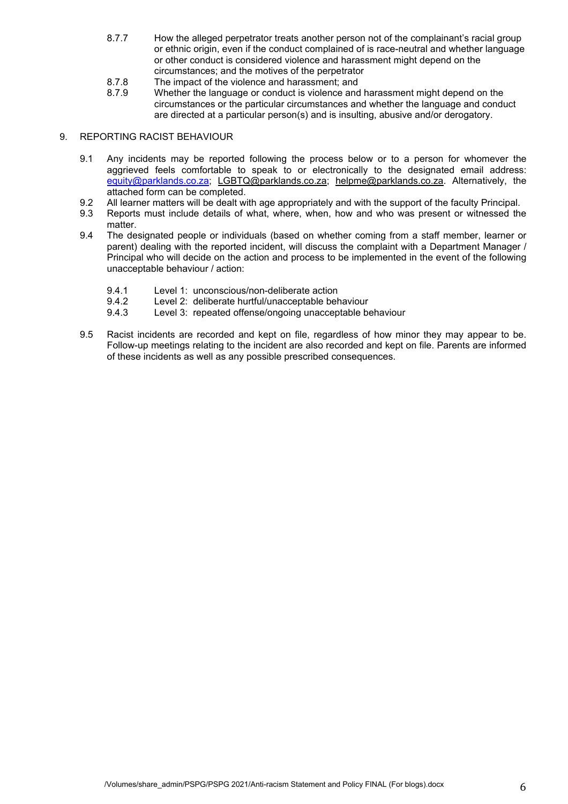- 8.7.7 How the alleged perpetrator treats another person not of the complainant's racial group or ethnic origin, even if the conduct complained of is race-neutral and whether language or other conduct is considered violence and harassment might depend on the circumstances; and the motives of the perpetrator
- 8.7.8 The impact of the violence and harassment; and<br>8.7.9 Whether the language or conduct is violence and
- Whether the language or conduct is violence and harassment might depend on the circumstances or the particular circumstances and whether the language and conduct are directed at a particular person(s) and is insulting, abusive and/or derogatory.

#### 9. REPORTING RACIST BEHAVIOUR

- 9.1 Any incidents may be reported following the process below or to a person for whomever the aggrieved feels comfortable to speak to or electronically to the designated email address: equity@parklands.co.za; LGBTQ@parklands.co.za; helpme@parklands.co.za. Alternatively, the attached form can be completed.
- 9.2 All learner matters will be dealt with age appropriately and with the support of the faculty Principal.
- 9.3 Reports must include details of what, where, when, how and who was present or witnessed the matter.
- 9.4 The designated people or individuals (based on whether coming from a staff member, learner or parent) dealing with the reported incident, will discuss the complaint with a Department Manager / Principal who will decide on the action and process to be implemented in the event of the following unacceptable behaviour / action:
	- 9.4.1 Level 1: unconscious/non-deliberate action
	- 9.4.2 Level 2: deliberate hurtful/unacceptable behaviour<br>9.4.3 Level 3: repeated offense/ongoing unacceptable be
	- Level 3: repeated offense/ongoing unacceptable behaviour
- 9.5 Racist incidents are recorded and kept on file, regardless of how minor they may appear to be. Follow-up meetings relating to the incident are also recorded and kept on file. Parents are informed of these incidents as well as any possible prescribed consequences.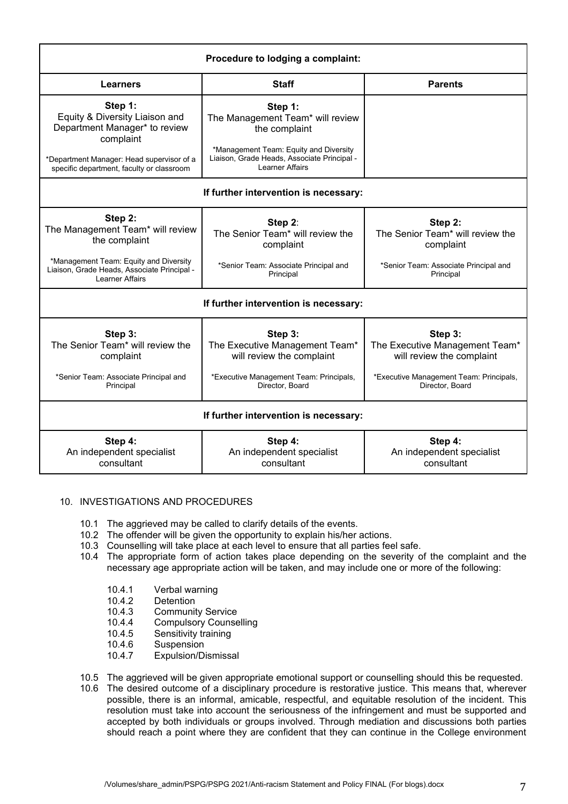| Procedure to lodging a complaint:                                                                                                                                                 |                                                                                                                                                                                 |                                                                                                                                      |  |
|-----------------------------------------------------------------------------------------------------------------------------------------------------------------------------------|---------------------------------------------------------------------------------------------------------------------------------------------------------------------------------|--------------------------------------------------------------------------------------------------------------------------------------|--|
| Learners                                                                                                                                                                          | <b>Parents</b>                                                                                                                                                                  |                                                                                                                                      |  |
| Step 1:<br>Equity & Diversity Liaison and<br>Department Manager* to review<br>complaint<br>*Department Manager: Head supervisor of a<br>specific department, faculty or classroom | Step 1:<br>The Management Team* will review<br>the complaint<br>*Management Team: Equity and Diversity<br>Liaison, Grade Heads, Associate Principal -<br><b>Learner Affairs</b> |                                                                                                                                      |  |
|                                                                                                                                                                                   |                                                                                                                                                                                 |                                                                                                                                      |  |
|                                                                                                                                                                                   | If further intervention is necessary:                                                                                                                                           |                                                                                                                                      |  |
| Step 2:<br>The Management Team* will review<br>the complaint<br>*Management Team: Equity and Diversity<br>Liaison, Grade Heads, Associate Principal -                             | Step 2:<br>The Senior Team* will review the<br>complaint<br>*Senior Team: Associate Principal and<br>Principal                                                                  | Step 2:<br>The Senior Team <sup>*</sup> will review the<br>complaint<br>*Senior Team: Associate Principal and<br>Principal           |  |
| Learner Affairs                                                                                                                                                                   |                                                                                                                                                                                 |                                                                                                                                      |  |
|                                                                                                                                                                                   | If further intervention is necessary:                                                                                                                                           |                                                                                                                                      |  |
| Step 3:<br>The Senior Team* will review the<br>complaint<br>*Senior Team: Associate Principal and<br>Principal                                                                    | Step 3:<br>The Executive Management Team*<br>will review the complaint<br>*Executive Management Team: Principals,<br>Director, Board                                            | Step 3:<br>The Executive Management Team*<br>will review the complaint<br>*Executive Management Team: Principals,<br>Director, Board |  |
| If further intervention is necessary:                                                                                                                                             |                                                                                                                                                                                 |                                                                                                                                      |  |
| Step 4:<br>An independent specialist<br>consultant                                                                                                                                | Step 4:<br>An independent specialist<br>consultant                                                                                                                              | Step 4:<br>An independent specialist<br>consultant                                                                                   |  |

#### 10. INVESTIGATIONS AND PROCEDURES

- 10.1 The aggrieved may be called to clarify details of the events.
- 10.2 The offender will be given the opportunity to explain his/her actions.
- 10.3 Counselling will take place at each level to ensure that all parties feel safe.
- 10.4 The appropriate form of action takes place depending on the severity of the complaint and the necessary age appropriate action will be taken, and may include one or more of the following:
	- 10.4.1 Verbal warning
	- 10.4.2 Detention<br>10.4.3 Communit
	- Community Service
	- 10.4.4 Compulsory Counselling
	- 10.4.5 Sensitivity training<br>10.4.6 Suspension
	- 10.4.6 Suspension<br>10.4.7 Expulsion/Di
	- Expulsion/Dismissal
- 10.5 The aggrieved will be given appropriate emotional support or counselling should this be requested.
- 10.6 The desired outcome of a disciplinary procedure is restorative justice. This means that, wherever possible, there is an informal, amicable, respectful, and equitable resolution of the incident. This resolution must take into account the seriousness of the infringement and must be supported and accepted by both individuals or groups involved. Through mediation and discussions both parties should reach a point where they are confident that they can continue in the College environment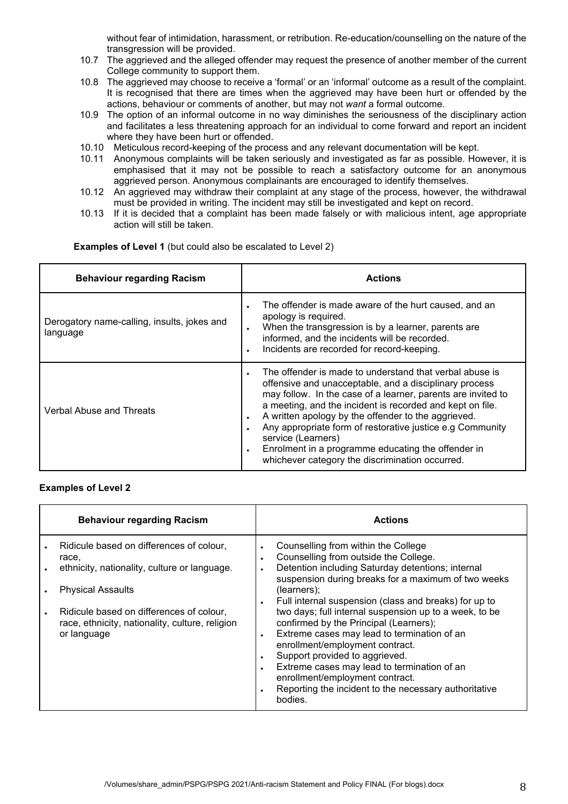without fear of intimidation, harassment, or retribution. Re-education/counselling on the nature of the transgression will be provided.

- 10.7 The aggrieved and the alleged offender may request the presence of another member of the current College community to support them.
- 10.8 The aggrieved may choose to receive a 'formal' or an 'informal' outcome as a result of the complaint. It is recognised that there are times when the aggrieved may have been hurt or offended by the actions, behaviour or comments of another, but may not *want* a formal outcome.
- 10.9 The option of an informal outcome in no way diminishes the seriousness of the disciplinary action and facilitates a less threatening approach for an individual to come forward and report an incident where they have been hurt or offended.
- 10.10 Meticulous record-keeping of the process and any relevant documentation will be kept.
- 10.11 Anonymous complaints will be taken seriously and investigated as far as possible. However, it is emphasised that it may not be possible to reach a satisfactory outcome for an anonymous aggrieved person. Anonymous complainants are encouraged to identify themselves.
- 10.12 An aggrieved may withdraw their complaint at any stage of the process, however, the withdrawal must be provided in writing. The incident may still be investigated and kept on record.
- 10.13 If it is decided that a complaint has been made falsely or with malicious intent, age appropriate action will still be taken.

**Examples of Level 1** (but could also be escalated to Level 2)

| <b>Behaviour regarding Racism</b>                       | <b>Actions</b>                                                                                                                                                                                                                                                                                                                                                                                                                                                                                                 |
|---------------------------------------------------------|----------------------------------------------------------------------------------------------------------------------------------------------------------------------------------------------------------------------------------------------------------------------------------------------------------------------------------------------------------------------------------------------------------------------------------------------------------------------------------------------------------------|
| Derogatory name-calling, insults, jokes and<br>language | The offender is made aware of the hurt caused, and an<br>apology is required.<br>When the transgression is by a learner, parents are<br>$\bullet$<br>informed, and the incidents will be recorded.<br>Incidents are recorded for record-keeping.                                                                                                                                                                                                                                                               |
| Verbal Abuse and Threats                                | The offender is made to understand that verbal abuse is<br>offensive and unacceptable, and a disciplinary process<br>may follow. In the case of a learner, parents are invited to<br>a meeting, and the incident is recorded and kept on file.<br>A written apology by the offender to the aggrieved.<br>$\bullet$<br>Any appropriate form of restorative justice e.g Community<br>service (Learners)<br>Enrolment in a programme educating the offender in<br>whichever category the discrimination occurred. |

#### **Examples of Level 2**

| <b>Behaviour regarding Racism</b>                                                                                                                                                                                                           |                                     | <b>Actions</b>                                                                                                                                                                                                                                                                                                                                                                                                                                                                                                                                                                                                                                 |
|---------------------------------------------------------------------------------------------------------------------------------------------------------------------------------------------------------------------------------------------|-------------------------------------|------------------------------------------------------------------------------------------------------------------------------------------------------------------------------------------------------------------------------------------------------------------------------------------------------------------------------------------------------------------------------------------------------------------------------------------------------------------------------------------------------------------------------------------------------------------------------------------------------------------------------------------------|
| Ridicule based on differences of colour.<br>race,<br>ethnicity, nationality, culture or language.<br><b>Physical Assaults</b><br>Ridicule based on differences of colour.<br>race, ethnicity, nationality, culture, religion<br>or language | $\bullet$<br>$\bullet$<br>$\bullet$ | Counselling from within the College<br>Counselling from outside the College.<br>Detention including Saturday detentions; internal<br>suspension during breaks for a maximum of two weeks<br>(learners);<br>Full internal suspension (class and breaks) for up to<br>two days; full internal suspension up to a week, to be<br>confirmed by the Principal (Learners);<br>Extreme cases may lead to termination of an<br>enrollment/employment contract.<br>Support provided to aggrieved.<br>Extreme cases may lead to termination of an<br>enrollment/employment contract.<br>Reporting the incident to the necessary authoritative<br>bodies. |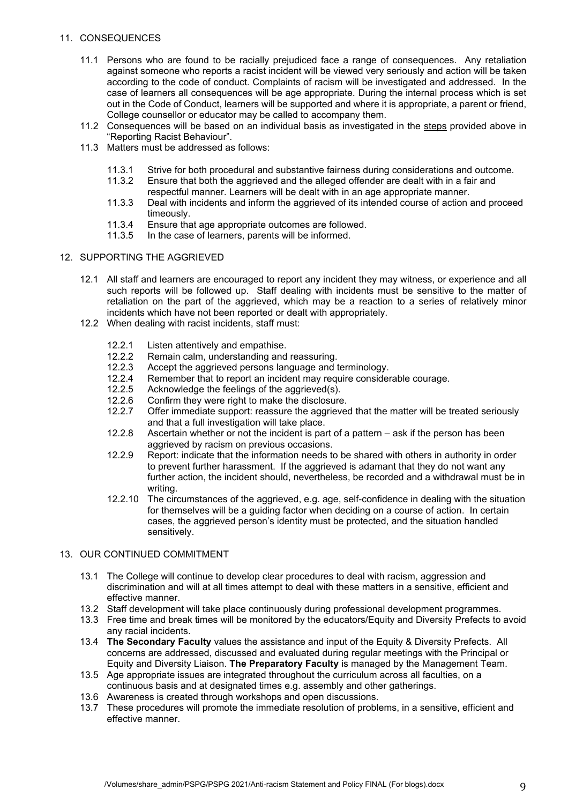## 11. CONSEQUENCES

- 11.1 Persons who are found to be racially prejudiced face a range of consequences. Any retaliation against someone who reports a racist incident will be viewed very seriously and action will be taken according to the code of conduct. Complaints of racism will be investigated and addressed. In the case of learners all consequences will be age appropriate. During the internal process which is set out in the Code of Conduct, learners will be supported and where it is appropriate, a parent or friend, College counsellor or educator may be called to accompany them.
- 11.2 Consequences will be based on an individual basis as investigated in the steps provided above in "Reporting Racist Behaviour".
- 11.3 Matters must be addressed as follows:
	- 11.3.1 Strive for both procedural and substantive fairness during considerations and outcome.
	- 11.3.2 Ensure that both the aggrieved and the alleged offender are dealt with in a fair and
	- respectful manner. Learners will be dealt with in an age appropriate manner. 11.3.3 Deal with incidents and inform the aggrieved of its intended course of action and proceed timeously.
	- 11.3.4 Ensure that age appropriate outcomes are followed.
	- 11.3.5 In the case of learners, parents will be informed.

#### 12. SUPPORTING THE AGGRIEVED

- 12.1 All staff and learners are encouraged to report any incident they may witness, or experience and all such reports will be followed up. Staff dealing with incidents must be sensitive to the matter of retaliation on the part of the aggrieved, which may be a reaction to a series of relatively minor incidents which have not been reported or dealt with appropriately.
- 12.2 When dealing with racist incidents, staff must:
	- 12.2.1 Listen attentively and empathise.
	- 12.2.2 Remain calm, understanding and reassuring.
	- 12.2.3 Accept the aggrieved persons language and terminology.
	- 12.2.4 Remember that to report an incident may require considerable courage.
	- 12.2.5 Acknowledge the feelings of the aggrieved(s).
	- 12.2.6 Confirm they were right to make the disclosure.
	- 12.2.7 Offer immediate support: reassure the aggrieved that the matter will be treated seriously and that a full investigation will take place.
	- 12.2.8 Ascertain whether or not the incident is part of a pattern ask if the person has been aggrieved by racism on previous occasions.
	- 12.2.9 Report: indicate that the information needs to be shared with others in authority in order to prevent further harassment. If the aggrieved is adamant that they do not want any further action, the incident should, nevertheless, be recorded and a withdrawal must be in writing.
	- 12.2.10 The circumstances of the aggrieved, e.g. age, self-confidence in dealing with the situation for themselves will be a guiding factor when deciding on a course of action. In certain cases, the aggrieved person's identity must be protected, and the situation handled sensitively.

#### 13. OUR CONTINUED COMMITMENT

- 13.1 The College will continue to develop clear procedures to deal with racism, aggression and discrimination and will at all times attempt to deal with these matters in a sensitive, efficient and effective manner.
- 13.2 Staff development will take place continuously during professional development programmes.
- 13.3 Free time and break times will be monitored by the educators/Equity and Diversity Prefects to avoid any racial incidents.
- 13.4 **The Secondary Faculty** values the assistance and input of the Equity & Diversity Prefects. All concerns are addressed, discussed and evaluated during regular meetings with the Principal or Equity and Diversity Liaison. **The Preparatory Faculty** is managed by the Management Team.
- 13.5 Age appropriate issues are integrated throughout the curriculum across all faculties, on a continuous basis and at designated times e.g. assembly and other gatherings.
- 13.6 Awareness is created through workshops and open discussions.
- 13.7 These procedures will promote the immediate resolution of problems, in a sensitive, efficient and effective manner.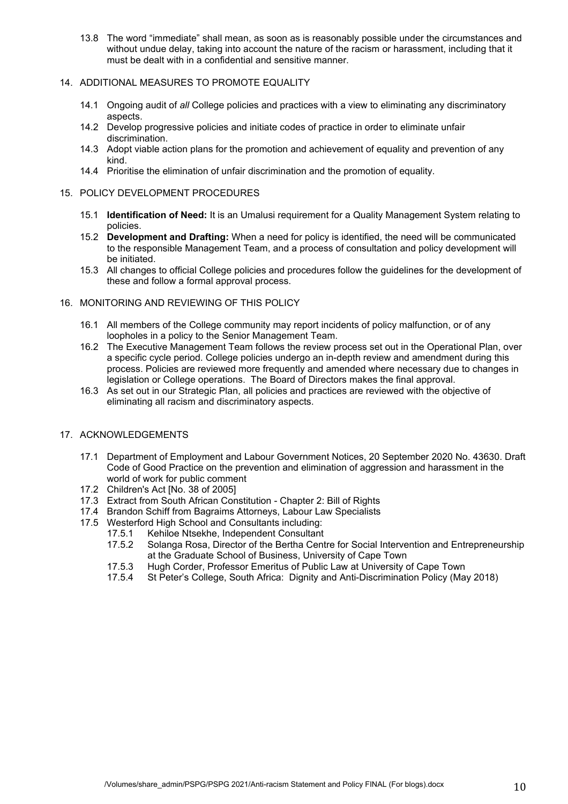13.8 The word "immediate" shall mean, as soon as is reasonably possible under the circumstances and without undue delay, taking into account the nature of the racism or harassment, including that it must be dealt with in a confidential and sensitive manner.

## 14. ADDITIONAL MEASURES TO PROMOTE EQUALITY

- 14.1 Ongoing audit of *all* College policies and practices with a view to eliminating any discriminatory aspects.
- 14.2 Develop progressive policies and initiate codes of practice in order to eliminate unfair discrimination.
- 14.3 Adopt viable action plans for the promotion and achievement of equality and prevention of any kind.
- 14.4 Prioritise the elimination of unfair discrimination and the promotion of equality.

#### 15. POLICY DEVELOPMENT PROCEDURES

- 15.1 **Identification of Need:** It is an Umalusi requirement for a Quality Management System relating to policies.
- 15.2 **Development and Drafting:** When a need for policy is identified, the need will be communicated to the responsible Management Team, and a process of consultation and policy development will be initiated.
- 15.3 All changes to official College policies and procedures follow the guidelines for the development of these and follow a formal approval process.
- 16. MONITORING AND REVIEWING OF THIS POLICY
	- 16.1 All members of the College community may report incidents of policy malfunction, or of any loopholes in a policy to the Senior Management Team.
	- 16.2 The Executive Management Team follows the review process set out in the Operational Plan, over a specific cycle period. College policies undergo an in-depth review and amendment during this process. Policies are reviewed more frequently and amended where necessary due to changes in legislation or College operations. The Board of Directors makes the final approval.
	- 16.3 As set out in our Strategic Plan, all policies and practices are reviewed with the objective of eliminating all racism and discriminatory aspects.
- 17. ACKNOWLEDGEMENTS
	- 17.1 Department of Employment and Labour Government Notices, 20 September 2020 No. 43630. Draft Code of Good Practice on the prevention and elimination of aggression and harassment in the world of work for public comment
	- 17.2 Children's Act [No. 38 of 2005]
	- 17.3 Extract from South African Constitution Chapter 2: Bill of Rights
	- 17.4 Brandon Schiff from Bagraims Attorneys, Labour Law Specialists
	- 17.5 Westerford High School and Consultants including:
		- 17.5.1 Kehiloe Ntsekhe, Independent Consultant
		- 17.5.2 Solanga Rosa, Director of the Bertha Centre for Social Intervention and Entrepreneurship at the Graduate School of Business, University of Cape Town
		- 17.5.3 Hugh Corder, Professor Emeritus of Public Law at University of Cape Town
		- 17.5.4 St Peter's College, South Africa: Dignity and Anti-Discrimination Policy (May 2018)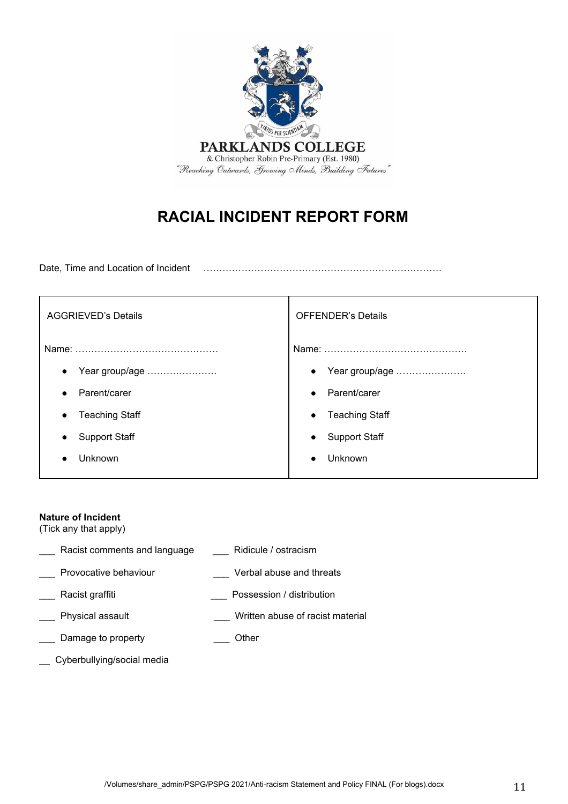

# **RACIAL INCIDENT REPORT FORM**

Date, Time and Location of Incident …………………………………………………………………

| <b>AGGRIEVED's Details</b> | <b>OFFENDER's Details</b> |  |
|----------------------------|---------------------------|--|
| Name:                      | Name:                     |  |
| Year group/age             | Year group/age            |  |
| $\bullet$                  | $\bullet$                 |  |
| Parent/carer               | Parent/carer              |  |
| $\bullet$                  | $\bullet$                 |  |
| <b>Teaching Staff</b>      | <b>Teaching Staff</b>     |  |
| $\bullet$                  | $\bullet$                 |  |
| <b>Support Staff</b>       | <b>Support Staff</b>      |  |
| $\bullet$                  | $\bullet$                 |  |
| Unknown                    | Unknown                   |  |
|                            |                           |  |

## **Nature of Incident**

(Tick any that apply)

| Racist comments and language | Ridicule / ostracism             |
|------------------------------|----------------------------------|
| Provocative behaviour        | Verbal abuse and threats         |
| Racist graffiti              | Possession / distribution        |
| Physical assault             | Written abuse of racist material |
| Damage to property           | Other                            |
|                              |                                  |

\_\_ Cyberbullying/social media